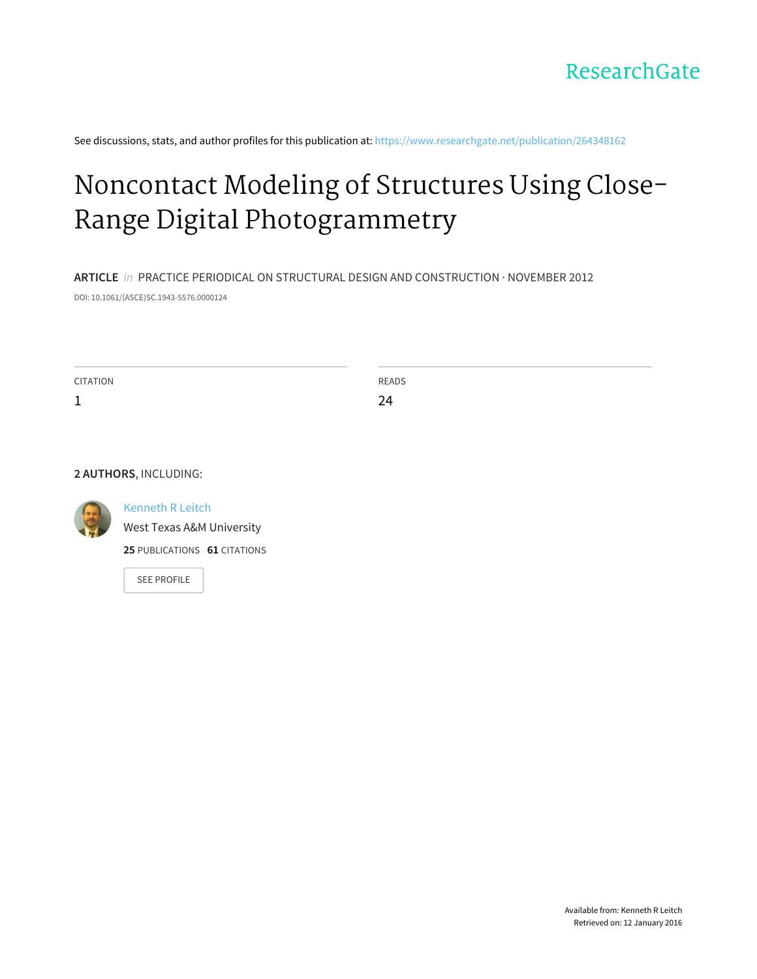See discussions, stats, and author profiles for this publication at: [https://www.researchgate.net/publication/264348162](https://www.researchgate.net/publication/264348162_Noncontact_Modeling_of_Structures_Using_Close-Range_Digital_Photogrammetry?enrichId=rgreq-a2ab2fac-225a-48bd-84c6-6c09bcf3668a&enrichSource=Y292ZXJQYWdlOzI2NDM0ODE2MjtBUzoxMjQ4MTE3ODczNzg2ODhAMTQwNjc2ODg1NzIxNA%3D%3D&el=1_x_2)

# Noncontact Modeling of Structures Using Close-Range Digital [Photogrammetry](https://www.researchgate.net/publication/264348162_Noncontact_Modeling_of_Structures_Using_Close-Range_Digital_Photogrammetry?enrichId=rgreq-a2ab2fac-225a-48bd-84c6-6c09bcf3668a&enrichSource=Y292ZXJQYWdlOzI2NDM0ODE2MjtBUzoxMjQ4MTE3ODczNzg2ODhAMTQwNjc2ODg1NzIxNA%3D%3D&el=1_x_3)

**ARTICLE** in PRACTICE PERIODICAL ON STRUCTURAL DESIGN AND CONSTRUCTION · NOVEMBER 2012 DOI: 10.1061/(ASCE)SC.1943-5576.0000124

| <b>CITATION</b> | READS |
|-----------------|-------|
|                 | 24    |
|                 |       |

**2 AUTHORS**, INCLUDING:



[Kenneth](https://www.researchgate.net/profile/Kenneth_Leitch?enrichId=rgreq-a2ab2fac-225a-48bd-84c6-6c09bcf3668a&enrichSource=Y292ZXJQYWdlOzI2NDM0ODE2MjtBUzoxMjQ4MTE3ODczNzg2ODhAMTQwNjc2ODg1NzIxNA%3D%3D&el=1_x_5) R Leitch

West Texas A&M [University](https://www.researchgate.net/institution/West_Texas_A_M_University?enrichId=rgreq-a2ab2fac-225a-48bd-84c6-6c09bcf3668a&enrichSource=Y292ZXJQYWdlOzI2NDM0ODE2MjtBUzoxMjQ4MTE3ODczNzg2ODhAMTQwNjc2ODg1NzIxNA%3D%3D&el=1_x_6)

**25** PUBLICATIONS **61** CITATIONS

SEE [PROFILE](https://www.researchgate.net/profile/Kenneth_Leitch?enrichId=rgreq-a2ab2fac-225a-48bd-84c6-6c09bcf3668a&enrichSource=Y292ZXJQYWdlOzI2NDM0ODE2MjtBUzoxMjQ4MTE3ODczNzg2ODhAMTQwNjc2ODg1NzIxNA%3D%3D&el=1_x_7)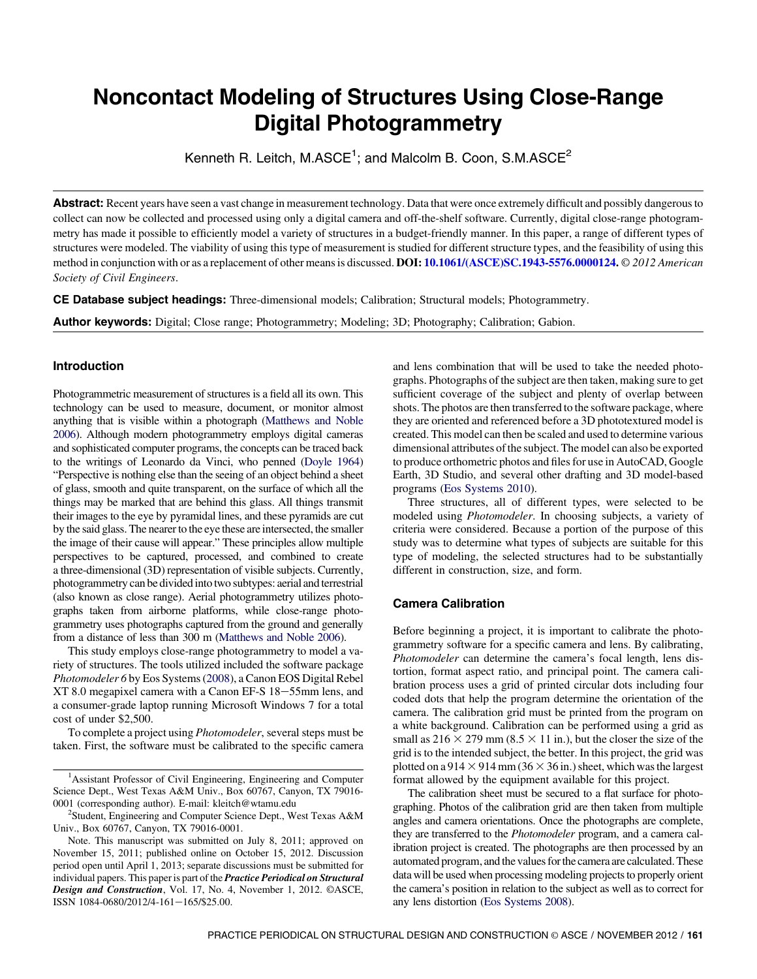# Noncontact Modeling of Structures Using Close-Range Digital Photogrammetry

Kenneth R. Leitch, M.ASCE<sup>1</sup>; and Malcolm B. Coon, S.M.ASCE<sup>2</sup>

Abstract: Recent years have seen a vast change in measurement technology. Data that were once extremely difficult and possibly dangerous to collect can now be collected and processed using only a digital camera and off-the-shelf software. Currently, digital close-range photogrammetry has made it possible to efficiently model a variety of structures in a budget-friendly manner. In this paper, a range of different types of structures were modeled. The viability of using this type of measurement is studied for different structure types, and the feasibility of using this method in conjunction with or as a replacement of other means is discussed. DOI: [10.1061/\(ASCE\)SC.1943-5576.0000124](http://dx.doi.org/10.1061/(ASCE)SC.1943-5576.0000124). © 2012 American Society of Civil Engineers.

CE Database subject headings: Three-dimensional models; Calibration; Structural models; Photogrammetry.

Author keywords: Digital; Close range; Photogrammetry; Modeling; 3D; Photography; Calibration; Gabion.

# Introduction

Photogrammetric measurement of structures is a field all its own. This technology can be used to measure, document, or monitor almost anything that is visible within a photograph (Matthews and Noble 2006). Although modern photogrammetry employs digital cameras and sophisticated computer programs, the concepts can be traced back to the writings of Leonardo da Vinci, who penned (Doyle 1964) "Perspective is nothing else than the seeing of an object behind a sheet of glass, smooth and quite transparent, on the surface of which all the things may be marked that are behind this glass. All things transmit their images to the eye by pyramidal lines, and these pyramids are cut by the said glass. The nearer to the eye these are intersected, the smaller the image of their cause will appear." These principles allow multiple perspectives to be captured, processed, and combined to create a three-dimensional (3D) representation of visible subjects. Currently, photogrammetry can be divided into two subtypes: aerial and terrestrial (also known as close range). Aerial photogrammetry utilizes photographs taken from airborne platforms, while close-range photogrammetry uses photographs captured from the ground and generally from a distance of less than 300 m (Matthews and Noble 2006).

This study employs close-range photogrammetry to model a variety of structures. The tools utilized included the software package Photomodeler 6 by Eos Systems (2008), a Canon EOS Digital Rebel  $XT 8.0$  megapixel camera with a Canon EF-S  $18-55$ mm lens, and a consumer-grade laptop running Microsoft Windows 7 for a total cost of under \$2,500.

To complete a project using Photomodeler, several steps must be taken. First, the software must be calibrated to the specific camera and lens combination that will be used to take the needed photographs. Photographs of the subject are then taken, making sure to get sufficient coverage of the subject and plenty of overlap between shots. The photos are then transferred to the software package, where they are oriented and referenced before a 3D phototextured model is created. This model can then be scaled and used to determine various dimensional attributes of the subject. The model can also be exported to produce orthometric photos and files for use in AutoCAD, Google Earth, 3D Studio, and several other drafting and 3D model-based programs (Eos Systems 2010).

Three structures, all of different types, were selected to be modeled using Photomodeler. In choosing subjects, a variety of criteria were considered. Because a portion of the purpose of this study was to determine what types of subjects are suitable for this type of modeling, the selected structures had to be substantially different in construction, size, and form.

# Camera Calibration

Before beginning a project, it is important to calibrate the photogrammetry software for a specific camera and lens. By calibrating, Photomodeler can determine the camera's focal length, lens distortion, format aspect ratio, and principal point. The camera calibration process uses a grid of printed circular dots including four coded dots that help the program determine the orientation of the camera. The calibration grid must be printed from the program on a white background. Calibration can be performed using a grid as small as  $216 \times 279$  mm (8.5  $\times$  11 in.), but the closer the size of the grid is to the intended subject, the better. In this project, the grid was plotted on a 914  $\times$  914 mm (36  $\times$  36 in.) sheet, which was the largest format allowed by the equipment available for this project.

The calibration sheet must be secured to a flat surface for photographing. Photos of the calibration grid are then taken from multiple angles and camera orientations. Once the photographs are complete, they are transferred to the Photomodeler program, and a camera calibration project is created. The photographs are then processed by an automated program, and the values for the camera are calculated. These data will be used when processing modeling projects to properly orient the camera's position in relation to the subject as well as to correct for any lens distortion (Eos Systems 2008).

<sup>&</sup>lt;sup>1</sup>Assistant Professor of Civil Engineering, Engineering and Computer Science Dept., West Texas A&M Univ., Box 60767, Canyon, TX 79016- 0001 (corresponding author). E-mail: [kleitch@wtamu.edu](mailto:kleitch@wtamu.edu) <sup>2</sup>

 ${}^{2}$ Student, Engineering and Computer Science Dept., West Texas A&M Univ., Box 60767, Canyon, TX 79016-0001.

Note. This manuscript was submitted on July 8, 2011; approved on November 15, 2011; published online on October 15, 2012. Discussion period open until April 1, 2013; separate discussions must be submitted for individual papers. This paper is part of the *Practice Periodical on Structural* Design and Construction, Vol. 17, No. 4, November 1, 2012. ©ASCE, ISSN 1084-0680/2012/4-161-165/\$25.00.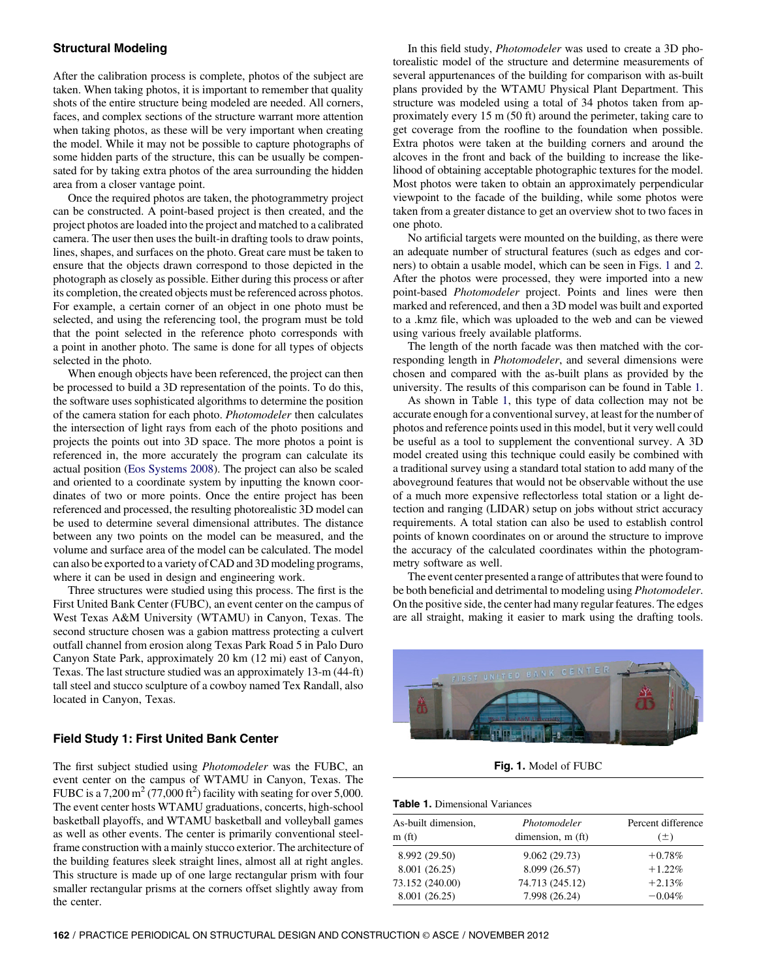# Structural Modeling

After the calibration process is complete, photos of the subject are taken. When taking photos, it is important to remember that quality shots of the entire structure being modeled are needed. All corners, faces, and complex sections of the structure warrant more attention when taking photos, as these will be very important when creating the model. While it may not be possible to capture photographs of some hidden parts of the structure, this can be usually be compensated for by taking extra photos of the area surrounding the hidden area from a closer vantage point.

Once the required photos are taken, the photogrammetry project can be constructed. A point-based project is then created, and the project photos are loaded into the project and matched to a calibrated camera. The user then uses the built-in drafting tools to draw points, lines, shapes, and surfaces on the photo. Great care must be taken to ensure that the objects drawn correspond to those depicted in the photograph as closely as possible. Either during this process or after its completion, the created objects must be referenced across photos. For example, a certain corner of an object in one photo must be selected, and using the referencing tool, the program must be told that the point selected in the reference photo corresponds with a point in another photo. The same is done for all types of objects selected in the photo.

When enough objects have been referenced, the project can then be processed to build a 3D representation of the points. To do this, the software uses sophisticated algorithms to determine the position of the camera station for each photo. Photomodeler then calculates the intersection of light rays from each of the photo positions and projects the points out into 3D space. The more photos a point is referenced in, the more accurately the program can calculate its actual position (Eos Systems 2008). The project can also be scaled and oriented to a coordinate system by inputting the known coordinates of two or more points. Once the entire project has been referenced and processed, the resulting photorealistic 3D model can be used to determine several dimensional attributes. The distance between any two points on the model can be measured, and the volume and surface area of the model can be calculated. The model can also be exported to a variety of CAD and 3D modeling programs, where it can be used in design and engineering work.

Three structures were studied using this process. The first is the First United Bank Center (FUBC), an event center on the campus of West Texas A&M University (WTAMU) in Canyon, Texas. The second structure chosen was a gabion mattress protecting a culvert outfall channel from erosion along Texas Park Road 5 in Palo Duro Canyon State Park, approximately 20 km (12 mi) east of Canyon, Texas. The last structure studied was an approximately 13-m (44-ft) tall steel and stucco sculpture of a cowboy named Tex Randall, also located in Canyon, Texas.

# Field Study 1: First United Bank Center

The first subject studied using Photomodeler was the FUBC, an event center on the campus of WTAMU in Canyon, Texas. The FUBC is a 7,200 m<sup>2</sup> (77,000 ft<sup>2</sup>) facility with seating for over 5,000. The event center hosts WTAMU graduations, concerts, high-school basketball playoffs, and WTAMU basketball and volleyball games as well as other events. The center is primarily conventional steelframe construction with a mainly stucco exterior. The architecture of the building features sleek straight lines, almost all at right angles. This structure is made up of one large rectangular prism with four smaller rectangular prisms at the corners offset slightly away from the center.

In this field study, Photomodeler was used to create a 3D photorealistic model of the structure and determine measurements of several appurtenances of the building for comparison with as-built plans provided by the WTAMU Physical Plant Department. This structure was modeled using a total of 34 photos taken from approximately every 15 m (50 ft) around the perimeter, taking care to get coverage from the roofline to the foundation when possible. Extra photos were taken at the building corners and around the alcoves in the front and back of the building to increase the likelihood of obtaining acceptable photographic textures for the model. Most photos were taken to obtain an approximately perpendicular viewpoint to the facade of the building, while some photos were taken from a greater distance to get an overview shot to two faces in one photo.

No artificial targets were mounted on the building, as there were an adequate number of structural features (such as edges and corners) to obtain a usable model, which can be seen in Figs. 1 and 2. After the photos were processed, they were imported into a new point-based Photomodeler project. Points and lines were then marked and referenced, and then a 3D model was built and exported to a .kmz file, which was uploaded to the web and can be viewed using various freely available platforms.

The length of the north facade was then matched with the corresponding length in Photomodeler, and several dimensions were chosen and compared with the as-built plans as provided by the university. The results of this comparison can be found in Table 1.

As shown in Table 1, this type of data collection may not be accurate enough for a conventional survey, at least for the number of photos and reference points used in this model, but it very well could be useful as a tool to supplement the conventional survey. A 3D model created using this technique could easily be combined with a traditional survey using a standard total station to add many of the aboveground features that would not be observable without the use of a much more expensive reflectorless total station or a light detection and ranging (LIDAR) setup on jobs without strict accuracy requirements. A total station can also be used to establish control points of known coordinates on or around the structure to improve the accuracy of the calculated coordinates within the photogrammetry software as well.

The event center presented a range of attributes that were found to be both beneficial and detrimental to modeling using Photomodeler. On the positive side, the center had many regular features. The edges are all straight, making it easier to mark using the drafting tools.



Fig. 1. Model of FUBC

#### Table 1. Dimensional Variances

| As-built dimension,<br>m (ft) | Photomodeler<br>dimension, m (ft) | Percent difference<br>$(\pm)$ |
|-------------------------------|-----------------------------------|-------------------------------|
| 8.992 (29.50)                 | 9.062(29.73)                      | $+0.78\%$                     |
| 8.001 (26.25)                 | 8.099 (26.57)                     | $+1.22%$                      |
| 73.152 (240.00)               | 74.713 (245.12)                   | $+2.13%$                      |
| 8.001 (26.25)                 | 7.998 (26.24)                     | $-0.04%$                      |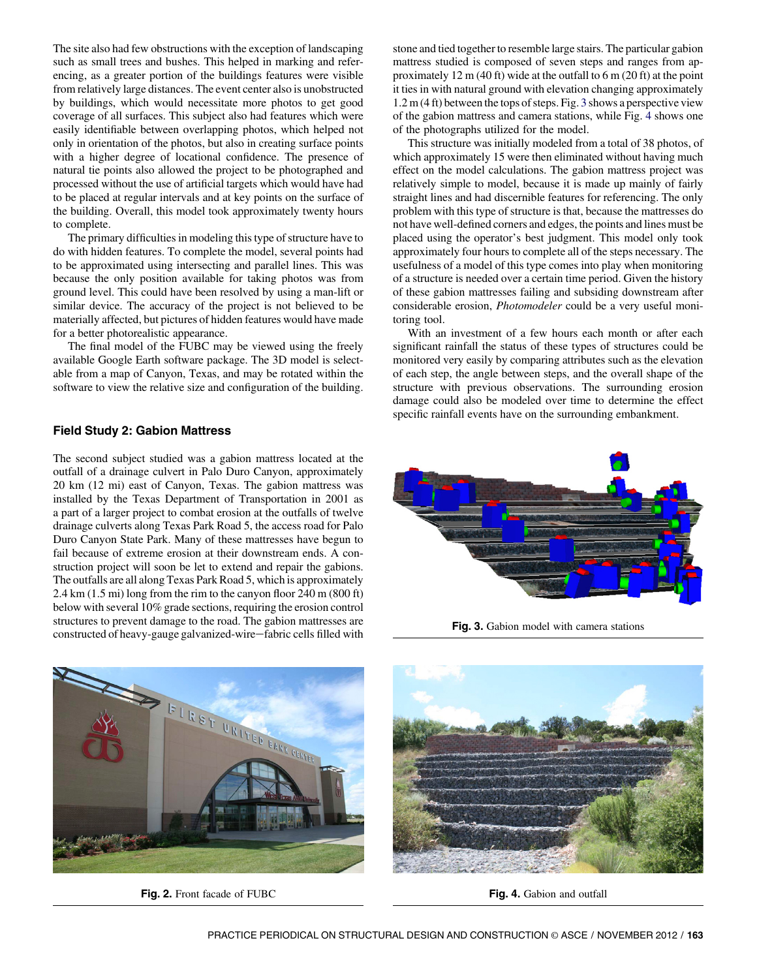The site also had few obstructions with the exception of landscaping such as small trees and bushes. This helped in marking and referencing, as a greater portion of the buildings features were visible from relatively large distances. The event center also is unobstructed by buildings, which would necessitate more photos to get good coverage of all surfaces. This subject also had features which were easily identifiable between overlapping photos, which helped not only in orientation of the photos, but also in creating surface points with a higher degree of locational confidence. The presence of natural tie points also allowed the project to be photographed and processed without the use of artificial targets which would have had to be placed at regular intervals and at key points on the surface of the building. Overall, this model took approximately twenty hours to complete.

The primary difficulties in modeling this type of structure have to do with hidden features. To complete the model, several points had to be approximated using intersecting and parallel lines. This was because the only position available for taking photos was from ground level. This could have been resolved by using a man-lift or similar device. The accuracy of the project is not believed to be materially affected, but pictures of hidden features would have made for a better photorealistic appearance.

The final model of the FUBC may be viewed using the freely available Google Earth software package. The 3D model is selectable from a map of Canyon, Texas, and may be rotated within the software to view the relative size and configuration of the building.

#### Field Study 2: Gabion Mattress

The second subject studied was a gabion mattress located at the outfall of a drainage culvert in Palo Duro Canyon, approximately 20 km (12 mi) east of Canyon, Texas. The gabion mattress was installed by the Texas Department of Transportation in 2001 as a part of a larger project to combat erosion at the outfalls of twelve drainage culverts along Texas Park Road 5, the access road for Palo Duro Canyon State Park. Many of these mattresses have begun to fail because of extreme erosion at their downstream ends. A construction project will soon be let to extend and repair the gabions. The outfalls are all along Texas Park Road 5, which is approximately 2.4 km (1.5 mi) long from the rim to the canyon floor 240 m (800 ft) below with several 10% grade sections, requiring the erosion control structures to prevent damage to the road. The gabion mattresses are constructed of heavy-gauge galvanized-wire-fabric cells filled with stone and tied together to resemble large stairs. The particular gabion mattress studied is composed of seven steps and ranges from approximately 12 m (40 ft) wide at the outfall to 6 m (20 ft) at the point it ties in with natural ground with elevation changing approximately 1.2 m (4 ft) between the tops of steps. Fig. 3 shows a perspective view of the gabion mattress and camera stations, while Fig. 4 shows one of the photographs utilized for the model.

This structure was initially modeled from a total of 38 photos, of which approximately 15 were then eliminated without having much effect on the model calculations. The gabion mattress project was relatively simple to model, because it is made up mainly of fairly straight lines and had discernible features for referencing. The only problem with this type of structure is that, because the mattresses do not have well-defined corners and edges, the points and lines must be placed using the operator's best judgment. This model only took approximately four hours to complete all of the steps necessary. The usefulness of a model of this type comes into play when monitoring of a structure is needed over a certain time period. Given the history of these gabion mattresses failing and subsiding downstream after considerable erosion, Photomodeler could be a very useful monitoring tool.

With an investment of a few hours each month or after each significant rainfall the status of these types of structures could be monitored very easily by comparing attributes such as the elevation of each step, the angle between steps, and the overall shape of the structure with previous observations. The surrounding erosion damage could also be modeled over time to determine the effect specific rainfall events have on the surrounding embankment.



Fig. 3. Gabion model with camera stations



Fig. 2. Front facade of FUBC



Fig. 4. Gabion and outfall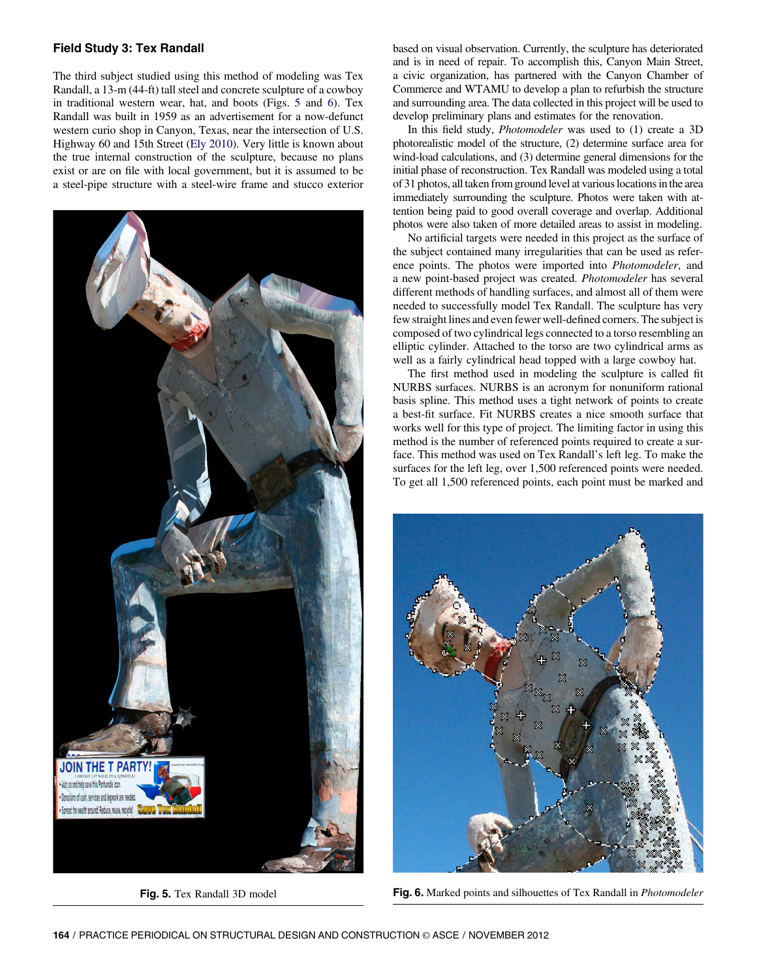#### Field Study 3: Tex Randall

The third subject studied using this method of modeling was Tex Randall, a 13-m (44-ft) tall steel and concrete sculpture of a cowboy in traditional western wear, hat, and boots (Figs. 5 and 6). Tex Randall was built in 1959 as an advertisement for a now-defunct western curio shop in Canyon, Texas, near the intersection of U.S. Highway 60 and 15th Street (Ely 2010). Very little is known about the true internal construction of the sculpture, because no plans exist or are on file with local government, but it is assumed to be a steel-pipe structure with a steel-wire frame and stucco exterior



based on visual observation. Currently, the sculpture has deteriorated and is in need of repair. To accomplish this, Canyon Main Street, a civic organization, has partnered with the Canyon Chamber of Commerce and WTAMU to develop a plan to refurbish the structure and surrounding area. The data collected in this project will be used to develop preliminary plans and estimates for the renovation.

In this field study, Photomodeler was used to (1) create a 3D photorealistic model of the structure, (2) determine surface area for wind-load calculations, and (3) determine general dimensions for the initial phase of reconstruction. Tex Randall was modeled using a total of 31 photos, all taken from ground level at various locations in the area immediately surrounding the sculpture. Photos were taken with attention being paid to good overall coverage and overlap. Additional photos were also taken of more detailed areas to assist in modeling.

No artificial targets were needed in this project as the surface of the subject contained many irregularities that can be used as reference points. The photos were imported into Photomodeler, and a new point-based project was created. Photomodeler has several different methods of handling surfaces, and almost all of them were needed to successfully model Tex Randall. The sculpture has very few straight lines and even fewer well-defined corners. The subject is composed of two cylindrical legs connected to a torso resembling an elliptic cylinder. Attached to the torso are two cylindrical arms as well as a fairly cylindrical head topped with a large cowboy hat.

The first method used in modeling the sculpture is called fit NURBS surfaces. NURBS is an acronym for nonuniform rational basis spline. This method uses a tight network of points to create a best-fit surface. Fit NURBS creates a nice smooth surface that works well for this type of project. The limiting factor in using this method is the number of referenced points required to create a surface. This method was used on Tex Randall's left leg. To make the surfaces for the left leg, over 1,500 referenced points were needed. To get all 1,500 referenced points, each point must be marked and



Fig. 6. Marked points and silhouettes of Tex Randall in *Photomodeler* Fig. 6. Marked points and silhouettes of Tex Randall in *Photomodeler*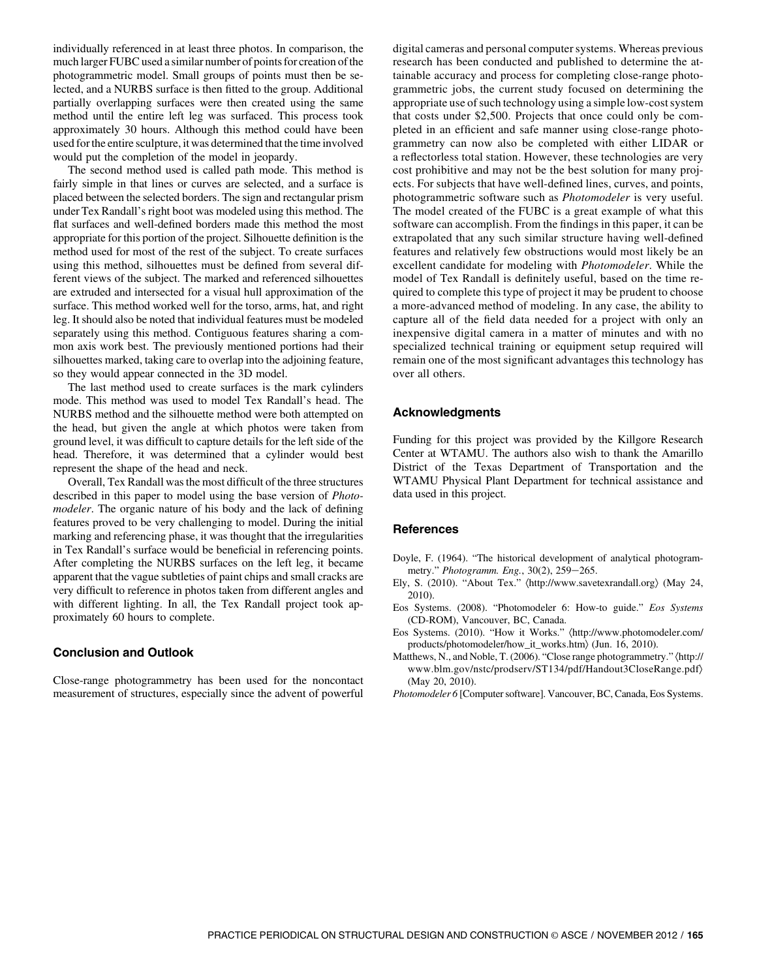individually referenced in at least three photos. In comparison, the much larger FUBC used a similar number of points for creation of the photogrammetric model. Small groups of points must then be selected, and a NURBS surface is then fitted to the group. Additional partially overlapping surfaces were then created using the same method until the entire left leg was surfaced. This process took approximately 30 hours. Although this method could have been used for the entire sculpture, it was determined that the time involved would put the completion of the model in jeopardy.

The second method used is called path mode. This method is fairly simple in that lines or curves are selected, and a surface is placed between the selected borders. The sign and rectangular prism under Tex Randall's right boot was modeled using this method. The flat surfaces and well-defined borders made this method the most appropriate for this portion of the project. Silhouette definition is the method used for most of the rest of the subject. To create surfaces using this method, silhouettes must be defined from several different views of the subject. The marked and referenced silhouettes are extruded and intersected for a visual hull approximation of the surface. This method worked well for the torso, arms, hat, and right leg. It should also be noted that individual features must be modeled separately using this method. Contiguous features sharing a common axis work best. The previously mentioned portions had their silhouettes marked, taking care to overlap into the adjoining feature, so they would appear connected in the 3D model.

The last method used to create surfaces is the mark cylinders mode. This method was used to model Tex Randall's head. The NURBS method and the silhouette method were both attempted on the head, but given the angle at which photos were taken from ground level, it was difficult to capture details for the left side of the head. Therefore, it was determined that a cylinder would best represent the shape of the head and neck.

Overall, Tex Randall was the most difficult of the three structures described in this paper to model using the base version of Photomodeler. The organic nature of his body and the lack of defining features proved to be very challenging to model. During the initial marking and referencing phase, it was thought that the irregularities in Tex Randall's surface would be beneficial in referencing points. After completing the NURBS surfaces on the left leg, it became apparent that the vague subtleties of paint chips and small cracks are very difficult to reference in photos taken from different angles and with different lighting. In all, the Tex Randall project took approximately 60 hours to complete.

# Conclusion and Outlook

Close-range photogrammetry has been used for the noncontact measurement of structures, especially since the advent of powerful

digital cameras and personal computer systems. Whereas previous research has been conducted and published to determine the attainable accuracy and process for completing close-range photogrammetric jobs, the current study focused on determining the appropriate use of such technology using a simple low-cost system that costs under \$2,500. Projects that once could only be completed in an efficient and safe manner using close-range photogrammetry can now also be completed with either LIDAR or a reflectorless total station. However, these technologies are very cost prohibitive and may not be the best solution for many projects. For subjects that have well-defined lines, curves, and points, photogrammetric software such as Photomodeler is very useful. The model created of the FUBC is a great example of what this software can accomplish. From the findings in this paper, it can be extrapolated that any such similar structure having well-defined features and relatively few obstructions would most likely be an excellent candidate for modeling with Photomodeler. While the model of Tex Randall is definitely useful, based on the time required to complete this type of project it may be prudent to choose a more-advanced method of modeling. In any case, the ability to capture all of the field data needed for a project with only an inexpensive digital camera in a matter of minutes and with no specialized technical training or equipment setup required will remain one of the most significant advantages this technology has over all others.

#### Acknowledgments

Funding for this project was provided by the Killgore Research Center at WTAMU. The authors also wish to thank the Amarillo District of the Texas Department of Transportation and the WTAMU Physical Plant Department for technical assistance and data used in this project.

### **References**

- Doyle, F. (1964). "The historical development of analytical photogrammetry." Photogramm. Eng., 30(2), 259-265.
- Ely, S. (2010). "About Tex." (<http://www.savetexrandall.org>) (May 24, 2010).
- Eos Systems. (2008). "Photomodeler 6: How-to guide." Eos Systems (CD-ROM), Vancouver, BC, Canada.
- Eos Systems. (2010). "How it Works." ([http://www.photomodeler.com/](http://www.photomodeler.com/products/photomodeler/how_it_works.htm) [products/photomodeler/how\\_it\\_works.htm](http://www.photomodeler.com/products/photomodeler/how_it_works.htm)) (Jun. 16, 2010).
- Matthews, N., and Noble, T. (2006). "Close range photogrammetry."  $\langle$ [http://](http://www.blm.gov/nstc/prodserv/ST134/pdf/Handout3CloseRange.pdf) [www.blm.gov/nstc/prodserv/ST134/pdf/Handout3CloseRange.pdf](http://www.blm.gov/nstc/prodserv/ST134/pdf/Handout3CloseRange.pdf)æ (May 20, 2010).
- Photomodeler 6 [Computer software]. Vancouver, BC, Canada, Eos Systems.